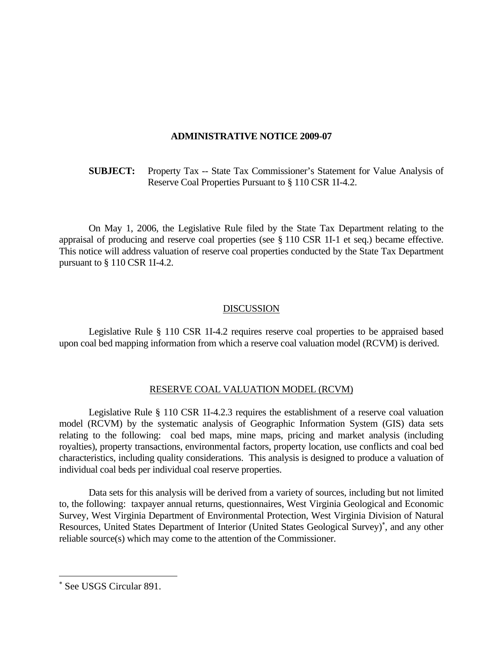## **ADMINISTRATIVE NOTICE 2009-07**

 **SUBJECT:** Property Tax -- State Tax Commissioner's Statement for Value Analysis of Reserve Coal Properties Pursuant to § 110 CSR 1I-4.2.

 On May 1, 2006, the Legislative Rule filed by the State Tax Department relating to the appraisal of producing and reserve coal properties (see § 110 CSR 1I-1 et seq.) became effective. This notice will address valuation of reserve coal properties conducted by the State Tax Department pursuant to § 110 CSR 1I-4.2.

## **DISCUSSION**

 Legislative Rule § 110 CSR 1I-4.2 requires reserve coal properties to be appraised based upon coal bed mapping information from which a reserve coal valuation model (RCVM) is derived.

## RESERVE COAL VALUATION MODEL (RCVM)

 Legislative Rule § 110 CSR 1I-4.2.3 requires the establishment of a reserve coal valuation model (RCVM) by the systematic analysis of Geographic Information System (GIS) data sets relating to the following: coal bed maps, mine maps, pricing and market analysis (including royalties), property transactions, environmental factors, property location, use conflicts and coal bed characteristics, including quality considerations. This analysis is designed to produce a valuation of individual coal beds per individual coal reserve properties.

 Data sets for this analysis will be derived from a variety of sources, including but not limited to, the following: taxpayer annual returns, questionnaires, West Virginia Geological and Economic Survey, West Virginia Department of Environmental Protection, West Virginia Division of Natural Resources, United States Department of Interior (United States Geological Survey)\*, and any other reliable source(s) which may come to the attention of the Commissioner.

È,

<sup>∗</sup> See USGS Circular 891.